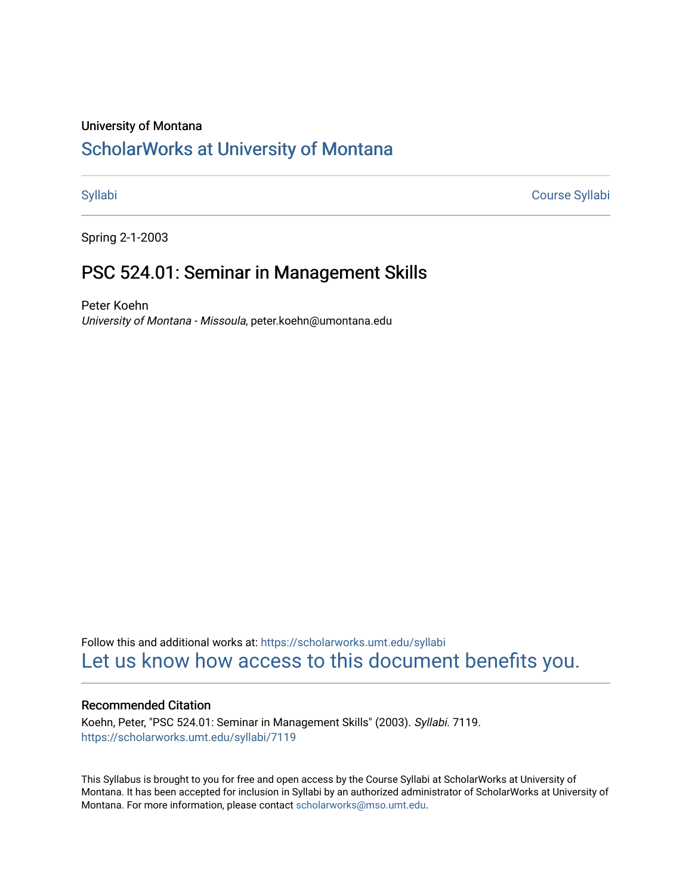## University of Montana

# [ScholarWorks at University of Montana](https://scholarworks.umt.edu/)

[Syllabi](https://scholarworks.umt.edu/syllabi) [Course Syllabi](https://scholarworks.umt.edu/course_syllabi) 

Spring 2-1-2003

# PSC 524.01: Seminar in Management Skills

Peter Koehn University of Montana - Missoula, peter.koehn@umontana.edu

Follow this and additional works at: [https://scholarworks.umt.edu/syllabi](https://scholarworks.umt.edu/syllabi?utm_source=scholarworks.umt.edu%2Fsyllabi%2F7119&utm_medium=PDF&utm_campaign=PDFCoverPages)  [Let us know how access to this document benefits you.](https://goo.gl/forms/s2rGfXOLzz71qgsB2) 

## Recommended Citation

Koehn, Peter, "PSC 524.01: Seminar in Management Skills" (2003). Syllabi. 7119. [https://scholarworks.umt.edu/syllabi/7119](https://scholarworks.umt.edu/syllabi/7119?utm_source=scholarworks.umt.edu%2Fsyllabi%2F7119&utm_medium=PDF&utm_campaign=PDFCoverPages)

This Syllabus is brought to you for free and open access by the Course Syllabi at ScholarWorks at University of Montana. It has been accepted for inclusion in Syllabi by an authorized administrator of ScholarWorks at University of Montana. For more information, please contact [scholarworks@mso.umt.edu.](mailto:scholarworks@mso.umt.edu)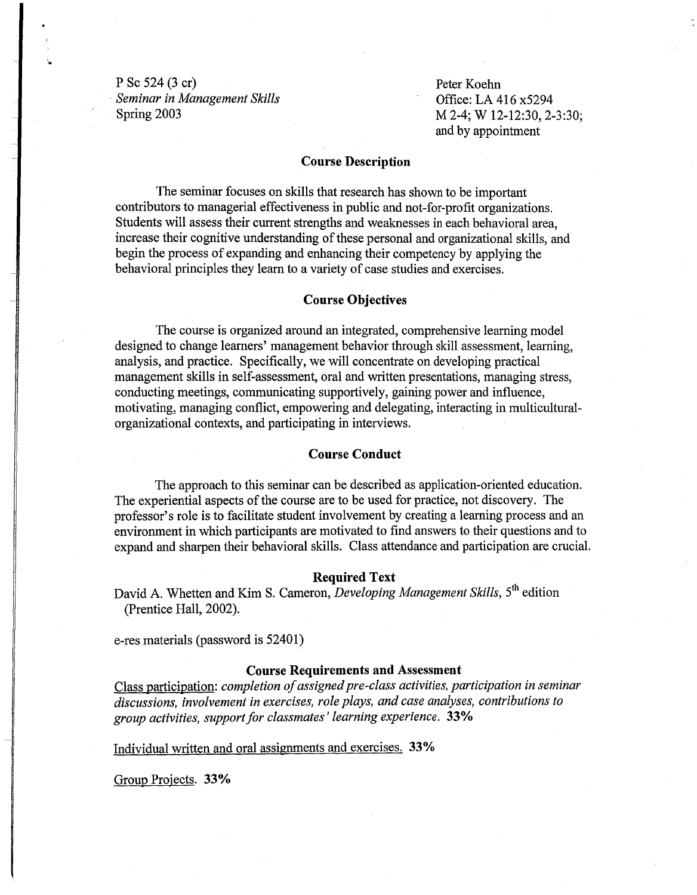P Sc 524 (3 er) **Seminar in Management Skills** Spring 2003 M 2-4; W 12-12:30, 2-3:30;

Peter Koehn Office: LA 416 x5294 and by appointment

## Course Description

The seminar focuses on skills that research has shown to be important contributors to managerial effectiveness in public and not-for-profit organizations. Students will assess their current strengths and weaknesses in each behavioral area, increase their cognitive understanding of these personal and organizational skills, and begin the process of expanding and enhancing their competency by applying the behavioral principles they learn to a variety of case studies and exercises.

## Course Objectives

The course is organized around an integrated, comprehensive learning model designed to change learners' management behavior through skill assessment, learning, analysis, and practice. Specifically, we will concentrate on developing practical management skills in self-assessment, oral and written presentations, managing stress, conducting meetings, communicating supportively, gaining power and influence, motivating, managing conflict, empowering and delegating, interacting in multiculturalorganizational contexts, and participating in interviews.

## Course Conduct

The approach to this seminar can be described as application-oriented education. The experiential aspects of the course are to be used for practice, not discovery. The professor's role is to facilitate student involvement by creating a learning process and an environment in which participants are motivated to find answers to their questions and to expand and sharpen their behavioral skills. Class attendance and participation are crucial.

## Required Text

 David A. Whetten and Kim S. Cameron, *Developing Management Skills,* 5th edition (Prentice Hall, 2002).

e-res materials (password is 52401)

## Course Requirements and Assessment

Class participation: *completion of assigned pre-class activities, participation in seminar discussions, involvement in exercises, role plays, and case analyses, contributions to group activities, support for classmates* ' *learning experience.* 33%

Individual written and oral assignments and exercises. 33%

Group Projects. 33%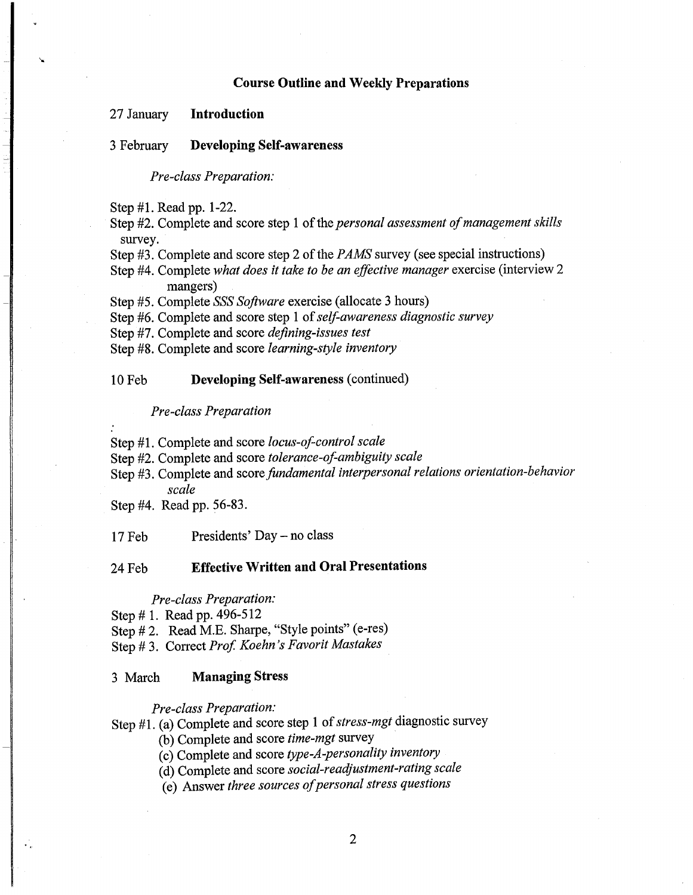#### **Course Outline and Weekly Preparations**

## 27 January **Introduction**

#### 3 February **Developing Self-awareness**

*Pre-class Preparation:* 

Step #1. Read pp. 1-22.

Step #2. Complete and score step 1 of the *personal assessment of management skills* survey.

Step #3. Complete and score step 2 of the *PAMS* survey (see special instructions)

Step #4. Complete *what does it take to be an effective manager* exercise (interview 2 mangers)

Step #5. Complete *SSS Software* exercise (allocate 3 hours)

Step #6. Complete and score step **1**of*self-awareness diagnostic survey* 

Step #7. Complete and score *defining-issues test* 

Step #8. Complete and score *learning-style inventory* 

#### lOFeb **Developing Self-awareness** (continued)

*Pre-class Preparation* 

Step **#1.** Complete and score *locus-of-control scale* 

Step #2. Complete and score *tolerance-of-ambiguity scale* 

Step #3. Complete and score *fundamental interpersonal relations orientation-behavior scale* 

Step #4. Read pp. 56-83.

17Feb Presidents' Day - no class

## 24Feb **Effective Written and Oral Presentations**

#### *Pre-class Preparation:*

Step # 1. Read pp. 496-512

Step # 2. Read M.E. Sharpe, "Style points" (e-res)

Step # 3. Correct *Prof. Koehn's Favorit Mastakes* 

#### 3 March **Managing Stress**

*Pre-class Preparation:* 

Step **#1.** (a) Complete and score step 1 of*stress-mgt* diagnostic survey

(b) Complete and score *time-mgt* survey

(c) Complete and score *type-A-personality inventory* 

(d) Complete and score *social-readjustment-rating scale* 

(e) Answer *three sources ofpersonal stress questions*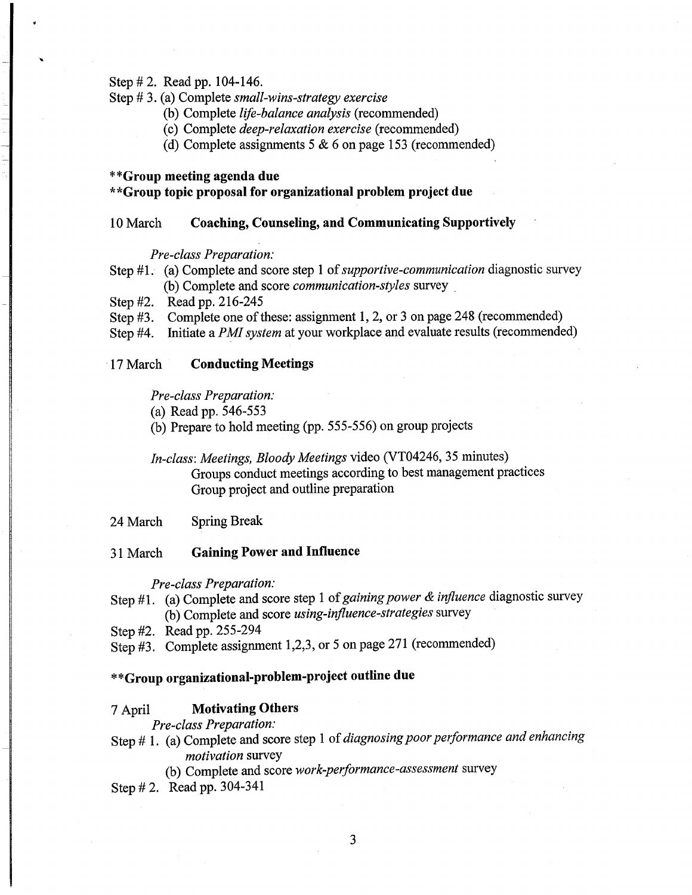Step# 2. Read pp. 104-146.

## Step# 3. (a) Complete *small-wins-strategy exercise*

- (b) Complete *life-balance analysis* (recommended)
- (c) Complete *deep-relaxation exercise* (recommended)
- (d) Complete assignments  $5 & 6$  on page 153 (recommended)

## **\*\*Group meeting agenda due**

## **\*\*Group topic proposal for organizational problem project due**

## 10 March **Coaching, Counseling, and Communicating Supportively**

## *Pre-class Preparation:*

- Step #1. (a) Complete and score step 1 of *supportive-communication* diagnostic survey (b) Complete and score *communication-styles* survey \_
- Step #2. Read pp. 216-245
- Step #3. Complete one of these: assignment 1, 2, or 3 on page 248 (recommended)
- Step #4. Initiate a *PMl system* at your workplace and evaluate results (recommended)

## ·17 March **Conducting Meetings**

## *Pre-class Preparation:*

- (a) Read pp. 546-553
- (b) Prepare to hold meeting (pp. 555-556) on group projects

## *In-class: Meetings, Bloody Meetings* video (VT04246, 35 minutes) Groups conduct meetings according to best management practices Group project and outline preparation

24 March Spring Break

31 March **Gaining Power and Influence** 

#### *Pre-class Preparation:*

- Step # 1. (a) Complete and score step 1 of *gaining power* & *influence* diagnostic survey (b) Complete and score *using-influence-strategies* survey
- Step #2. Read pp. 255-294
- Step #3. Complete assignment 1,2,3, or 5 on page 271 (recommended)

# **\*\*Group organizational-problem-project outline due**

## 7 April **Motivating Others**

*Pre-class Preparation:* 

- Step# 1. (a) Complete and score step 1 of *diagnosing poor performance and enhancing motivation* survey
	- (b) Complete and score *work-performance-assessment* survey
- Step# 2. Read pp. 304-341